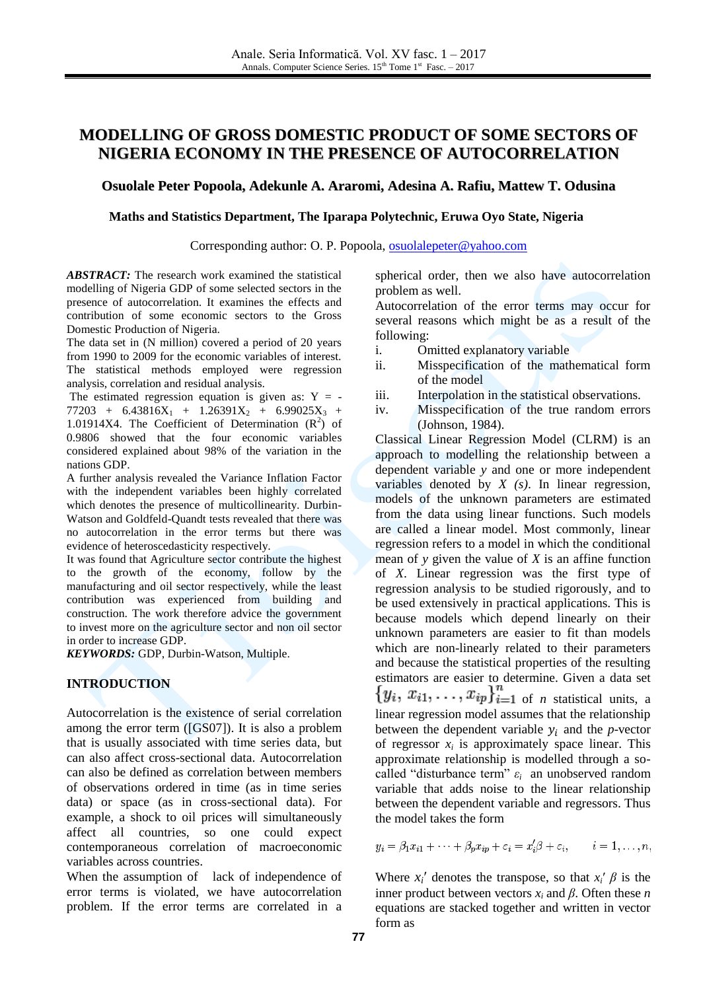# **MODELLING OF GROSS DOMESTIC PRODUCT OF SOME SECTORS OF NIGERIA ECONOMY IN THE PRESENCE OF AUTOCORRELATION**

#### **Osuolale Peter Popoola, Adekunle A. Araromi, Adesina A. Rafiu, Mattew T. Odusina**

#### **Maths and Statistics Department, The Iparapa Polytechnic, Eruwa Oyo State, Nigeria**

Corresponding author: O. P. Popoola, [osuolalepeter@yahoo.com](mailto:osuolalepeter@yahoo.com)

*ABSTRACT:* The research work examined the statistical modelling of Nigeria GDP of some selected sectors in the presence of autocorrelation. It examines the effects and contribution of some economic sectors to the Gross Domestic Production of Nigeria.

The data set in (N million) covered a period of 20 years from 1990 to 2009 for the economic variables of interest. The statistical methods employed were regression analysis, correlation and residual analysis.

The estimated regression equation is given as:  $Y = 77203 + 6.43816X_1 + 1.26391X_2 + 6.99025X_3 +$ 1.01914X4. The Coefficient of Determination  $(R^2)$  of 0.9806 showed that the four economic variables considered explained about 98% of the variation in the nations GDP.

A further analysis revealed the Variance Inflation Factor with the independent variables been highly correlated which denotes the presence of multicollinearity. Durbin-Watson and Goldfeld-Quandt tests revealed that there was no autocorrelation in the error terms but there was evidence of heteroscedasticity respectively.

It was found that Agriculture sector contribute the highest to the growth of the economy, follow by the manufacturing and oil sector respectively, while the least contribution was experienced from building and construction. The work therefore advice the government to invest more on the agriculture sector and non oil sector in order to increase GDP.

*KEYWORDS:* GDP, Durbin-Watson, Multiple.

# **INTRODUCTION**

Autocorrelation is the existence of serial correlation among the error term ([GS07]). It is also a problem that is usually associated with time series data, but can also affect cross-sectional data. Autocorrelation can also be defined as correlation between members of observations ordered in time (as in time series data) or space (as in cross-sectional data). For example, a shock to oil prices will simultaneously affect all countries, so one could expect contemporaneous correlation of macroeconomic variables across countries.

When the assumption of lack of independence of error terms is violated, we have autocorrelation problem. If the error terms are correlated in a

spherical order, then we also have autocorrelation problem as well.

Autocorrelation of the error terms may occur for several reasons which might be as a result of the following:

- i. Omitted explanatory variable
- ii. Misspecification of the mathematical form of the model
- iii. Interpolation in the statistical observations.
- iv. Misspecification of the true random errors (Johnson, 1984).

Classical Linear Regression Model (CLRM) is an approach to modelling the relationship between a dependent variable *y* and one or more independent variables denoted by *X (s)*. In linear regression, models of the unknown [parameters](http://en.wikipedia.org/wiki/Parameters) are [estimated](http://en.wikipedia.org/wiki/Estimation_theory) from the [data](http://en.wikipedia.org/wiki/Data) using linear functions. Such models are called a linear model. Most commonly, linear regression refers to a model in which the [conditional](http://en.wikipedia.org/wiki/Conditional_expectation)  [mean](http://en.wikipedia.org/wiki/Conditional_expectation) of *y* given the value of *X* is an [affine function](http://en.wikipedia.org/wiki/Affine_transformation) of *X*. Linear regression was the first type of [regression analysis](http://en.wikipedia.org/wiki/Regression_analysis) to be studied rigorously, and to be used extensively in practical applications. This is because models which depend linearly on their unknown parameters are easier to fit than models which are non-linearly related to their parameters and because the statistical properties of the resulting estimators are easier to determine. Given a [data](http://en.wikipedia.org/wiki/Data) set of *n* [statistical units,](http://en.wikipedia.org/wiki/Statistical_unit) a linear regression model assumes that the relationship between the dependent variable  $y_i$  and the *p*-vector of regressor  $x_i$  is approximately space [linear.](http://en.wikipedia.org/wiki/Linear_function) This approximate relationship is modelled through a socalled "disturbance term" *ε<sup>i</sup>* an unobserved [random](http://en.wikipedia.org/wiki/Random_variable)  [variable](http://en.wikipedia.org/wiki/Random_variable) that adds noise to the linear relationship between the dependent variable and regressors. Thus the model takes the form

 $y_i = \beta_1 x_{i1} + \cdots + \beta_p x_{ip} + \varepsilon_i = x'_i \beta + \varepsilon_i,$   $i = 1, \ldots, n,$ 

Where  $x_i'$  denotes the [transpose,](http://en.wikipedia.org/wiki/Transpose) so that  $x_i'$   $\beta$  is the [inner product](http://en.wikipedia.org/wiki/Inner_product) between [vectors](http://en.wikipedia.org/wiki/Coordinate_vector)  $x_i$  and  $\beta$ . Often these *n* equations are stacked together and written in vector form as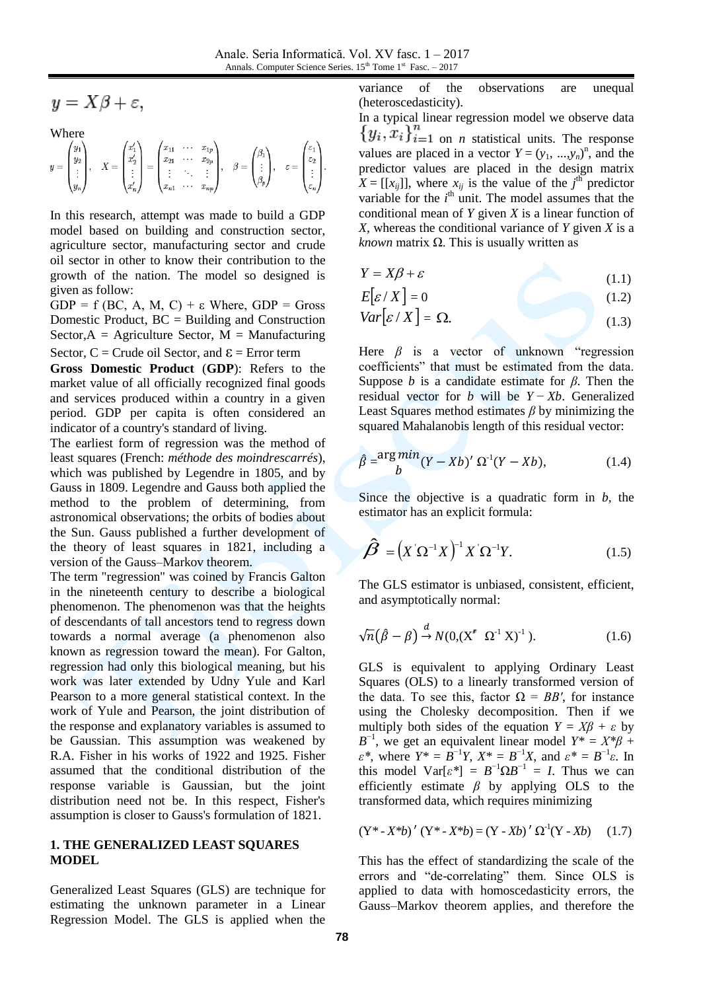$$
y = X\beta + \varepsilon,
$$

Where

$$
y = \begin{pmatrix} y_1 \\ y_2 \\ \vdots \\ y_n \end{pmatrix}, \quad X = \begin{pmatrix} x'_1 \\ x'_2 \\ \vdots \\ x'_n \end{pmatrix} = \begin{pmatrix} x_{11} & \cdots & x_{1p} \\ x_{21} & \cdots & x_{2p} \\ \vdots & \ddots & \vdots \\ x_{n1} & \cdots & x_{np} \end{pmatrix}, \quad \beta = \begin{pmatrix} \beta_1 \\ \vdots \\ \beta_p \end{pmatrix}, \quad \varepsilon = \begin{pmatrix} \varepsilon_1 \\ \varepsilon_2 \\ \vdots \\ \varepsilon_n \end{pmatrix}.
$$

In this research, attempt was made to build a GDP model based on building and construction sector, agriculture sector, manufacturing sector and crude oil sector in other to know their contribution to the growth of the nation. The model so designed is given as follow:

 $GDP = f (BC, A, M, C) + \varepsilon$  Where,  $GDP = Gross$ Domestic Product,  $BC = Building$  and Construction Sector, $A =$  Agriculture Sector,  $M =$  Manufacturing Sector,  $C =$  Crude oil Sector, and  $\epsilon =$  Error term

**Gross Domestic Product** (**GDP**): Refers to the [market value](http://en.wikipedia.org/wiki/Market_value) of all officially recognized final goods and services produced within a country in a given period. GDP [per capita](http://en.wikipedia.org/wiki/Per_capita) is often considered an indicator of a country's [standard of living.](http://en.wikipedia.org/wiki/Standard_of_living)

The earliest form of regression was the [method of](http://en.wikipedia.org/wiki/Method_of_least_squares)  [least squares](http://en.wikipedia.org/wiki/Method_of_least_squares) (French: *méthode des moindrescarrés*), which was published by [Legendre](http://en.wikipedia.org/wiki/Adrien_Marie_Legendre) in 1805, and by [Gauss](http://en.wikipedia.org/wiki/Carl_Friedrich_Gauss) in 1809. Legendre and Gauss both applied the method to the problem of determining, from astronomical observations; the orbits of bodies about the Sun. Gauss published a further development of the theory of least squares in 1821, including a version of the [Gauss–Markov theorem.](http://en.wikipedia.org/wiki/Gauss%E2%80%93Markov_theorem)

The term "regression" was coined by [Francis Galton](http://en.wikipedia.org/wiki/Francis_Galton) in the nineteenth century to describe a biological phenomenon. The phenomenon was that the heights of descendants of tall ancestors tend to regress down towards a normal average (a phenomenon also known as [regression toward the mean\)](http://en.wikipedia.org/wiki/Regression_toward_the_mean). For Galton, regression had only this biological meaning, but his work was later extended by [Udny Yule](http://en.wikipedia.org/wiki/Udny_Yule) and [Karl](http://en.wikipedia.org/wiki/Karl_Pearson)  [Pearson](http://en.wikipedia.org/wiki/Karl_Pearson) to a more general statistical context. In the work of Yule and Pearson, the joint distribution of the response and explanatory variables is assumed to be [Gaussian.](http://en.wikipedia.org/wiki/Normal_distribution) This assumption was weakened by [R.A. Fisher](http://en.wikipedia.org/wiki/Ronald_A._Fisher) in his works of 1922 and 1925. Fisher assumed that the conditional distribution of the response variable is Gaussian, but the joint distribution need not be. In this respect, Fisher's assumption is closer to Gauss's formulation of 1821.

#### **1. THE GENERALIZED LEAST SQUARES MODEL**

Generalized Least Squares (GLS) are technique for estimating the unknown parameter in a Linear Regression Model. The GLS is applied when the variance of the observations are unequal (heteroscedasticity).

In a typical [linear regression](http://en.wikipedia.org/wiki/Linear_regression) model we observe data  ${y_i, x_i}_{i=1}^n$  on *n* statistical units. The response values are placed in a vector  $Y = (y_1, ..., y_n)^n$ , and the predictor values are placed in the design matrix  $X = [[x_{ij}]]$ , where  $x_{ij}$  is the value of the *j*<sup>th</sup> predictor variable for the  $i<sup>th</sup>$  unit. The model assumes that the [conditional mean](http://en.wikipedia.org/wiki/Conditional_mean) of *Y* given *X* is a linear function of *X*, whereas the conditional [variance](http://en.wikipedia.org/wiki/Covariance_matrix) of *Y* given *X* is a *known* matrix  $\Omega$ . This is usually written as

$$
Y = X\beta + \varepsilon \tag{1.1}
$$

$$
E[\varepsilon / X] = 0 \tag{1.2}
$$

$$
Var[\varepsilon / X] = \Omega.
$$
 (1.3)

Here  $\beta$  is a vector of unknown "regression" coefficients" that must be estimated from the data. Suppose *b* is a candidate estimate for *β*. Then the [residual](http://en.wikipedia.org/wiki/Errors_and_residuals_in_statistics) vector for *b* will be *Y* − *Xb*. Generalized Least Squares method estimates *β* by minimizing the square[d Mahalanobis length](http://en.wikipedia.org/wiki/Mahalanobis_distance) of this residual vector:

$$
\hat{\beta} = \frac{\arg min}{b} (Y - Xb)' \Omega^{-1} (Y - Xb), \qquad (1.4)
$$

Since the objective is a quadratic form in *b*, the estimator has an explicit formula:

$$
\hat{\beta} = (X \Omega^{-1} X)^{-1} X \Omega^{-1} Y. \qquad (1.5)
$$

The GLS estimator is [unbiased,](http://en.wikipedia.org/wiki/Bias_of_an_estimator) [consistent,](http://en.wikipedia.org/wiki/Consistent_estimator) [efficient,](http://en.wikipedia.org/wiki/Efficiency_%28statistics%29) and [asymptotically normal:](http://en.wikipedia.org/wiki/Asymptotic_distribution)

$$
\sqrt{n}(\hat{\beta} - \beta) \stackrel{d}{\rightarrow} N(0, (X' \ \Omega^{-1} X)^{-1}). \tag{1.6}
$$

GLS is equivalent to applying Ordinary Least Squares (OLS) to a linearly transformed version of the data. To see this, factor  $\Omega = BB'$ , for instance using the [Cholesky decomposition.](http://en.wikipedia.org/wiki/Cholesky_decomposition) Then if we multiply both sides of the equation  $Y = X\beta + \varepsilon$  by  $B^{-1}$ , we get an equivalent linear model  $Y^* = X^*\beta +$ *ε\**, where  $Y^* = B^{-1}Y$ ,  $X^* = B^{-1}X$ , and  $ε^* = B^{-1}ε$ . In this model  $\text{Var}[\varepsilon^*] = B^{-1} \Omega B^{-1} = I$ . Thus we can efficiently estimate *β* by applying OLS to the transformed data, which requires minimizing

$$
(Y^* - X^*b)' (Y^* - X^*b) = (Y - Xb)' \Omega^1 (Y - Xb) \quad (1.7)
$$

This has the effect of standardizing the scale of the errors and "de-correlating" them. Since OLS is applied to data with homoscedasticity errors, the [Gauss–Markov theorem](http://en.wikipedia.org/wiki/Gauss%E2%80%93Markov_theorem) applies, and therefore the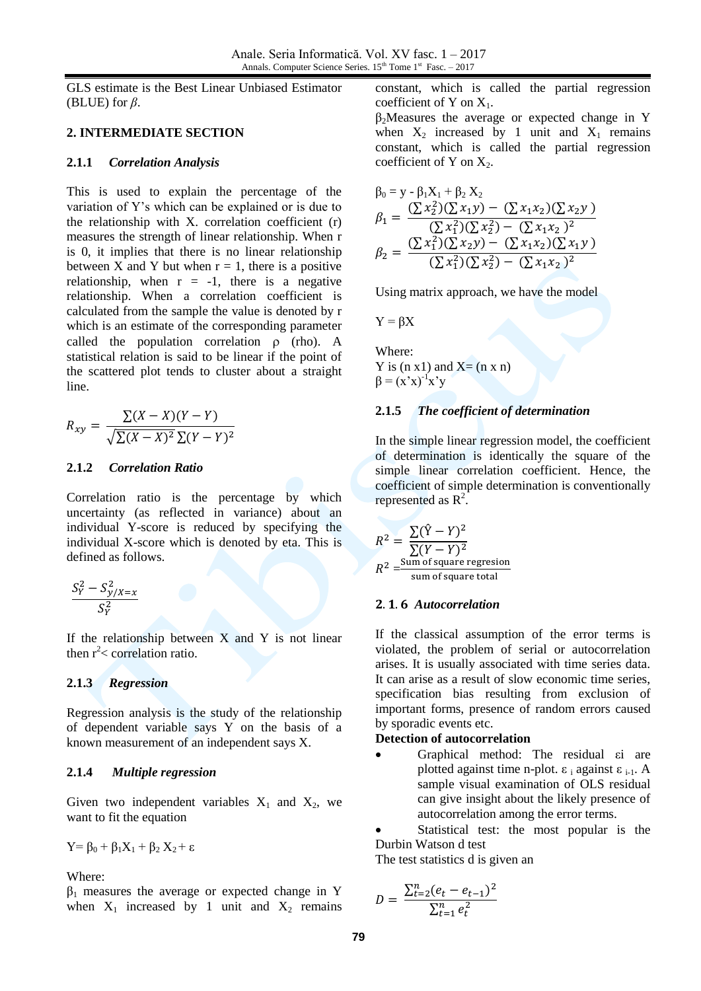GLS estimate is the [Best Linear Unbiased Estimator](http://en.wikipedia.org/wiki/Blue_%28statistics%29) (BLUE) for *β*.

#### **2. INTERMEDIATE SECTION**

#### **2.1.1** *Correlation Analysis*

This is used to explain the percentage of the variation of Y's which can be explained or is due to the relationship with X. correlation coefficient (r) measures the strength of linear relationship. When r is 0, it implies that there is no linear relationship between X and Y but when  $r = 1$ , there is a positive relationship, when  $r = -1$ , there is a negative relationship. When a correlation coefficient is calculated from the sample the value is denoted by r which is an estimate of the corresponding parameter called the population correlation  $\rho$  (rho). A statistical relation is said to be linear if the point of the scattered plot tends to cluster about a straight line.

$$
R_{xy} = \frac{\sum (X - X)(Y - Y)}{\sqrt{\sum (X - X)^2} \sum (Y - Y)^2}
$$

#### **2.1.2** *Correlation Ratio*

Correlation ratio is the percentage by which uncertainty (as reflected in variance) about an individual Y-score is reduced by specifying the individual X-score which is denoted by eta. This is defined as follows.

$$
\frac{S_Y^2 - S_{y/X=x}^2}{S_Y^2}
$$

If the relationship between  $X$  and  $Y$  is not linear then  $r^2$  correlation ratio.

# **2.1.3** *Regression*

Regression analysis is the study of the relationship of dependent variable says Y on the basis of a known measurement of an independent says X.

# **2.1.4** *Multiple regression*

Given two independent variables  $X_1$  and  $X_2$ , we want to fit the equation

$$
Y = \beta_0 + \beta_1 X_1 + \beta_2 X_2 + \epsilon
$$

Where:

 $β<sub>1</sub>$  measures the average or expected change in Y when  $X_1$  increased by 1 unit and  $X_2$  remains constant, which is called the partial regression coefficient of Y on  $X_1$ .

 $\beta_2$ Measures the average or expected change in Y when  $X_2$  increased by 1 unit and  $X_1$  remains constant, which is called the partial regression coefficient of Y on  $X_2$ .

$$
\beta_0 = y - \beta_1 X_1 + \beta_2 X_2
$$
\n
$$
\beta_1 = \frac{(\sum x_2^2)(\sum x_1 y) - (\sum x_1 x_2)(\sum x_2 y)}{(\sum x_1^2)(\sum x_2^2) - (\sum x_1 x_2)^2}
$$
\n
$$
\beta_2 = \frac{(\sum x_1^2)(\sum x_2 y) - (\sum x_1 x_2)(\sum x_1 y)}{(\sum x_1^2)(\sum x_2^2) - (\sum x_1 x_2)^2}
$$

Using matrix approach, we have the model

$$
Y = \beta X
$$

Where: Y is  $(n x1)$  and  $X=(n x n)$  $\beta = (x'x)^{-1}x'y$ 

# **2.1.5** *The coefficient of determination*

In the simple linear regression model, the coefficient of determination is identically the square of the simple linear correlation coefficient. Hence, the coefficient of simple determination is conventionally represented as  $R^2$ .

$$
R^{2} = \frac{\sum (\hat{Y} - Y)^{2}}{\sum (Y - Y)^{2}}
$$
  

$$
R^{2} = \frac{\text{Sum of square regression}}{\text{sum of square total}}
$$

# *Autocorrelation*

If the classical assumption of the error terms is violated, the problem of serial or autocorrelation arises. It is usually associated with time series data. It can arise as a result of slow economic time series, specification bias resulting from exclusion of important forms, presence of random errors caused by sporadic events etc.

# **Detection of autocorrelation**

 Graphical method: The residual εi are plotted against time n-plot.  $ε<sub>i</sub>$  against  $ε<sub>i-1</sub>$ . A sample visual examination of OLS residual can give insight about the likely presence of autocorrelation among the error terms.

 Statistical test: the most popular is the Durbin Watson d test

The test statistics d is given an

$$
D = \frac{\sum_{t=2}^{n} (e_t - e_{t-1})^2}{\sum_{t=1}^{n} e_t^2}
$$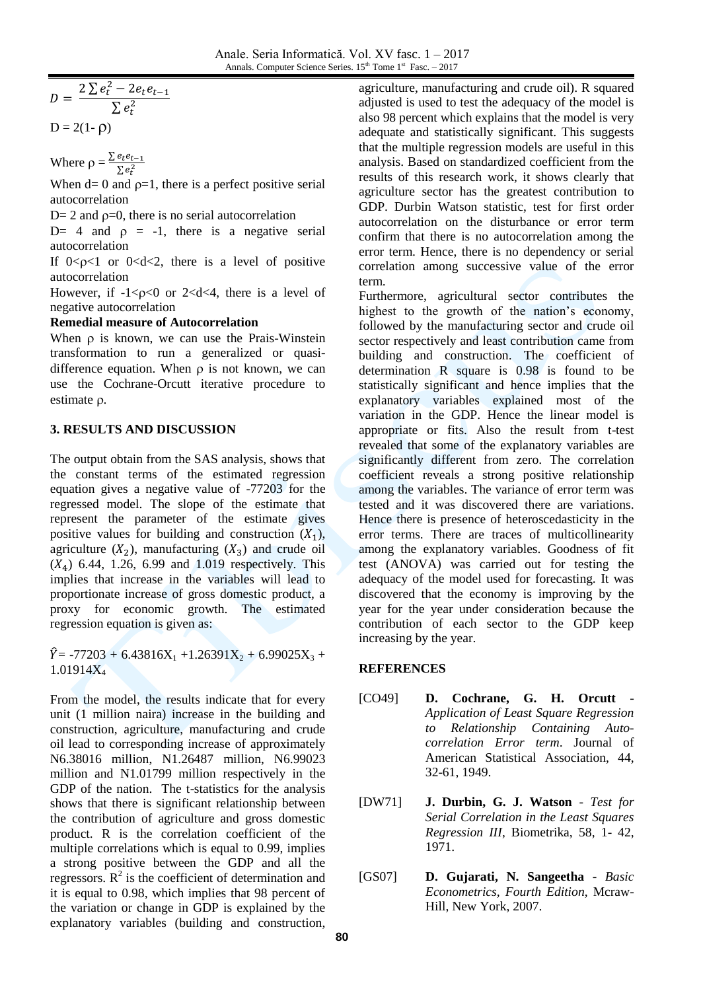$$
D = \frac{2\sum e_t^2 - 2e_t e_{t-1}}{\sum e_t^2}
$$
  
D = 2(1- $\rho$ )

Where  $\rho = \frac{\Sigma}{\Sigma}$  $\sum e_t^2$ 

When  $d=0$  and  $p=1$ , there is a perfect positive serial autocorrelation

 $D= 2$  and  $p=0$ , there is no serial autocorrelation

D= 4 and  $\rho = -1$ , there is a negative serial autocorrelation

If  $0 < \rho < 1$  or  $0 < d < 2$ , there is a level of positive autocorrelation

However, if  $-1 < p < 0$  or  $2 < d < 4$ , there is a level of negative autocorrelation

#### **Remedial measure of Autocorrelation**

When  $\rho$  is known, we can use the Prais-Winstein transformation to run a generalized or quasidifference equation. When  $\rho$  is not known, we can use the Cochrane-Orcutt iterative procedure to estimate  $\rho$ .

# **3. RESULTS AND DISCUSSION**

The output obtain from the SAS analysis, shows that the constant terms of the estimated regression equation gives a negative value of -77203 for the regressed model. The slope of the estimate that represent the parameter of the estimate gives positive values for building and construction  $(X_1)$ , agriculture  $(X_2)$ , manufacturing  $(X_3)$  and crude oil  $(X_4)$  6.44, 1.26, 6.99 and 1.019 respectively. This implies that increase in the variables will lead to proportionate increase of gross domestic product, a proxy for economic growth. The estimated regression equation is given as:

 $\hat{Y}$  = -77203 + 6.43816X<sub>1</sub> +1.26391X<sub>2</sub> + 6.99025X<sub>3</sub> + 1.01914X<sup>4</sup>

From the model, the results indicate that for every unit (1 million naira) increase in the building and construction, agriculture, manufacturing and crude oil lead to corresponding increase of approximately N6.38016 million, N1.26487 million, N6.99023 million and N1.01799 million respectively in the GDP of the nation. The t-statistics for the analysis shows that there is significant relationship between the contribution of agriculture and gross domestic product. R is the correlation coefficient of the multiple correlations which is equal to 0.99, implies a strong positive between the GDP and all the regressors.  $\mathbb{R}^2$  is the coefficient of determination and it is equal to 0.98, which implies that 98 percent of the variation or change in GDP is explained by the explanatory variables (building and construction,

agriculture, manufacturing and crude oil). R squared adjusted is used to test the adequacy of the model is also 98 percent which explains that the model is very adequate and statistically significant. This suggests that the multiple regression models are useful in this analysis. Based on standardized coefficient from the results of this research work, it shows clearly that agriculture sector has the greatest contribution to GDP. Durbin Watson statistic, test for first order autocorrelation on the disturbance or error term confirm that there is no autocorrelation among the error term. Hence, there is no dependency or serial correlation among successive value of the error term.

Furthermore, agricultural sector contributes the highest to the growth of the nation's economy, followed by the manufacturing sector and crude oil sector respectively and least contribution came from building and construction. The coefficient of determination R square is 0.98 is found to be statistically significant and hence implies that the explanatory variables explained most of the variation in the GDP. Hence the linear model is appropriate or fits. Also the result from t-test revealed that some of the explanatory variables are significantly different from zero. The correlation coefficient reveals a strong positive relationship among the variables. The variance of error term was tested and it was discovered there are variations. Hence there is presence of heteroscedasticity in the error terms. There are traces of multicollinearity among the explanatory variables. Goodness of fit test (ANOVA) was carried out for testing the adequacy of the model used for forecasting. It was discovered that the economy is improving by the year for the year under consideration because the contribution of each sector to the GDP keep increasing by the year.

# **REFERENCES**

- [CO49] **D. Cochrane, G. H. Orcutt** *Application of Least Square Regression to Relationship Containing Autocorrelation Error term*. Journal of American Statistical Association, 44, 32-61, 1949.
- [DW71] **J. Durbin, G. J. Watson** *Test for Serial Correlation in the Least Squares Regression III*, Biometrika, 58, 1- 42, 1971.
- [GS07] **D. Gujarati, N. Sangeetha** *Basic Econometrics, Fourth Edition*, Mcraw-Hill, New York, 2007.